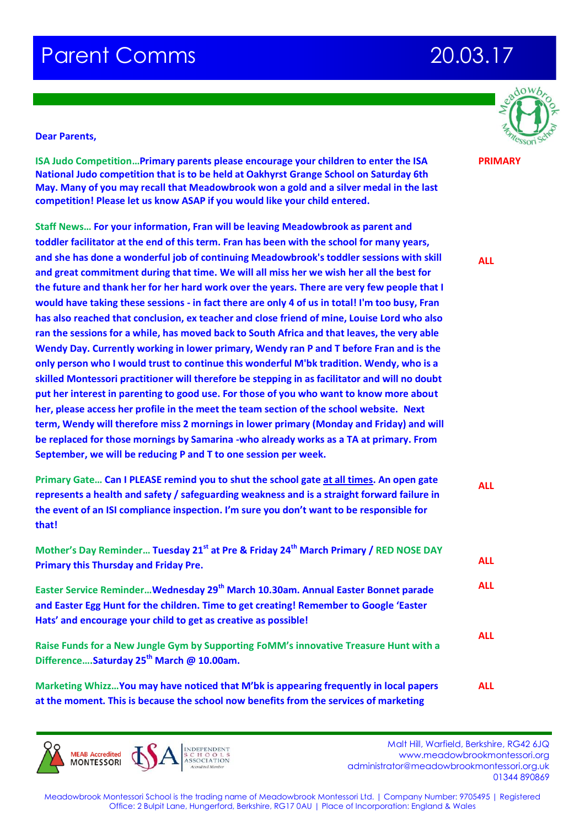## **Parent Comms 20.03.17**



**PRIMARY**

## **Dear Parents,**

**ISA Judo Competition…Primary parents please encourage your children to enter the ISA National Judo competition that is to be held at Oakhyrst Grange School on Saturday 6th May. Many of you may recall that Meadowbrook won a gold and a silver medal in the last competition! Please let us know ASAP if you would like your child entered.**

**Staff News… For your information, Fran will be leaving Meadowbrook as parent and toddler facilitator at the end of this term. Fran has been with the school for many years, and she has done a wonderful job of continuing Meadowbrook's toddler sessions with skill and great commitment during that time. We will all miss her we wish her all the best for the future and thank her for her hard work over the years. There are very few people that I would have taking these sessions - in fact there are only 4 of us in total! I'm too busy, Fran has also reached that conclusion, ex teacher and close friend of mine, Louise Lord who also ran the sessions for a while, has moved back to South Africa and that leaves, the very able Wendy Day. Currently working in lower primary, Wendy ran P and T before Fran and is the only person who I would trust to continue this wonderful M'bk tradition. Wendy, who is a skilled Montessori practitioner will therefore be stepping in as facilitator and will no doubt put her interest in parenting to good use. For those of you who want to know more about her, please access her profile in the meet the team section of the school website. Next term, Wendy will therefore miss 2 mornings in lower primary (Monday and Friday) and will be replaced for those mornings by Samarina -who already works as a TA at primary. From September, we will be reducing P and T to one session per week.** 

**Primary Gate… Can I PLEASE remind you to shut the school gate at all times. An open gate represents a health and safety / safeguarding weakness and is a straight forward failure in the event of an ISI compliance inspection. I'm sure you don't want to be responsible for that! Mother's Day Reminder… Tuesday 21st at Pre & Friday 24th March Primary / RED NOSE DAY ALL**

**Primary this Thursday and Friday Pre. Easter Service Reminder…Wednesday 29th March 10.30am. Annual Easter Bonnet parade and Easter Egg Hunt for the children. Time to get creating! Remember to Google 'Easter Hats' and encourage your child to get as creative as possible! Raise Funds for a New Jungle Gym by Supporting FoMM's innovative Treasure Hunt with a Difference….Saturday 25th March @ 10.00am. ALL ALL ALL**

**Marketing Whizz…You may have noticed that M'bk is appearing frequently in local papers at the moment. This is because the school now benefits from the services of marketing ALL**



Malt Hill, Warfield, Berkshire, RG42 6JQ<br>Malt Hill, Warfield, Berkshire, RG42 6JQ www.meadowbrookmontessori.org [administrator@meadowbrookmontessori.org.uk](mailto:administrator@meadowbrookmontessori.org.uk) 01344 890869

Meadowbrook Montessori School is the trading name of Meadowbrook Montessori Ltd. | Company Number: 9705495 | Registered Office: 2 Bulpit Lane, Hungerford, Berkshire, RG17 0AU | Place of Incorporation: England & Wales

**ALL**